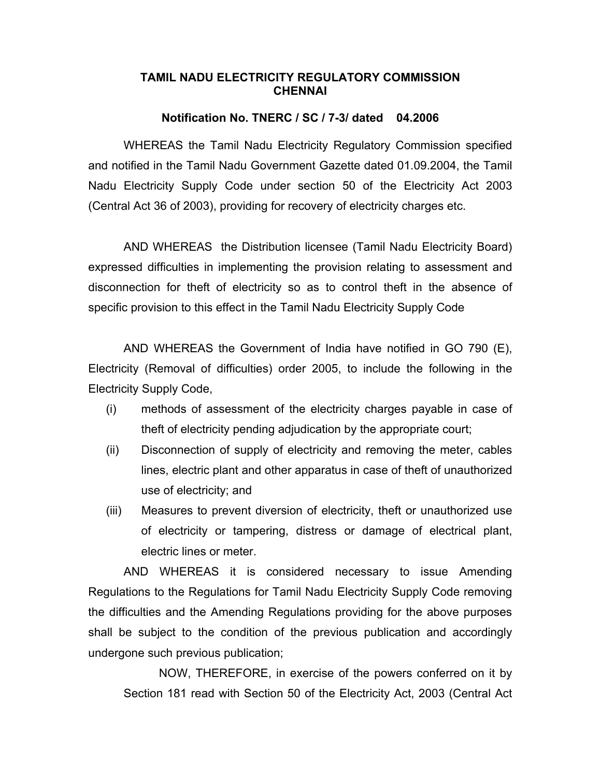### **TAMIL NADU ELECTRICITY REGULATORY COMMISSION CHENNAI**

### **Notification No. TNERC / SC / 7-3/ dated 04.2006**

 WHEREAS the Tamil Nadu Electricity Regulatory Commission specified and notified in the Tamil Nadu Government Gazette dated 01.09.2004, the Tamil Nadu Electricity Supply Code under section 50 of the Electricity Act 2003 (Central Act 36 of 2003), providing for recovery of electricity charges etc.

 AND WHEREAS the Distribution licensee (Tamil Nadu Electricity Board) expressed difficulties in implementing the provision relating to assessment and disconnection for theft of electricity so as to control theft in the absence of specific provision to this effect in the Tamil Nadu Electricity Supply Code

 AND WHEREAS the Government of India have notified in GO 790 (E), Electricity (Removal of difficulties) order 2005, to include the following in the Electricity Supply Code,

- (i) methods of assessment of the electricity charges payable in case of theft of electricity pending adjudication by the appropriate court;
- (ii) Disconnection of supply of electricity and removing the meter, cables lines, electric plant and other apparatus in case of theft of unauthorized use of electricity; and
- (iii) Measures to prevent diversion of electricity, theft or unauthorized use of electricity or tampering, distress or damage of electrical plant, electric lines or meter.

AND WHEREAS it is considered necessary to issue Amending Regulations to the Regulations for Tamil Nadu Electricity Supply Code removing the difficulties and the Amending Regulations providing for the above purposes shall be subject to the condition of the previous publication and accordingly undergone such previous publication;

 NOW, THEREFORE, in exercise of the powers conferred on it by Section 181 read with Section 50 of the Electricity Act, 2003 (Central Act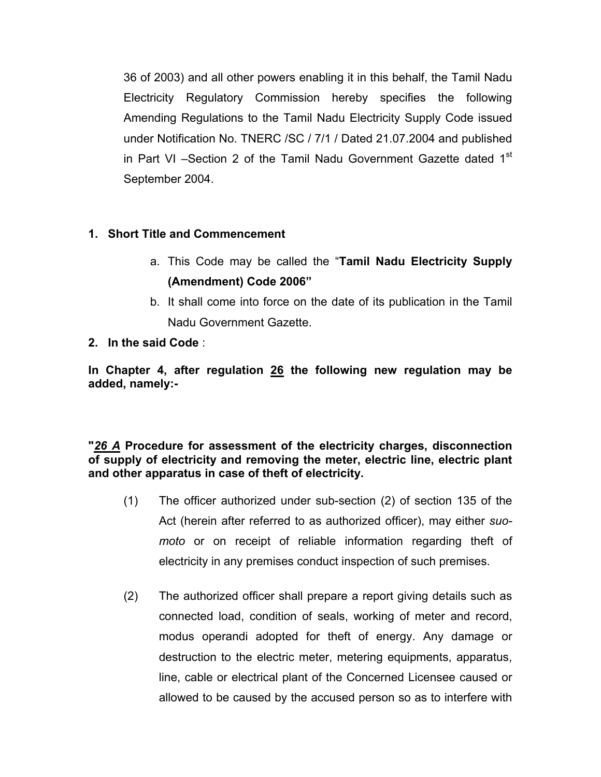36 of 2003) and all other powers enabling it in this behalf, the Tamil Nadu Electricity Regulatory Commission hereby specifies the following Amending Regulations to the Tamil Nadu Electricity Supply Code issued under Notification No. TNERC /SC / 7/1 / Dated 21.07.2004 and published in Part VI –Section 2 of the Tamil Nadu Government Gazette dated  $1<sup>st</sup>$ September 2004.

# **1. Short Title and Commencement**

- a. This Code may be called the "**Tamil Nadu Electricity Supply (Amendment) Code 2006"**
- b. It shall come into force on the date of its publication in the Tamil Nadu Government Gazette.
- **2. In the said Code** :

**In Chapter 4, after regulation 26 the following new regulation may be added, namely:-** 

# **"***26 A* **Procedure for assessment of the electricity charges, disconnection of supply of electricity and removing the meter, electric line, electric plant and other apparatus in case of theft of electricity.**

- (1) The officer authorized under sub-section (2) of section 135 of the Act (herein after referred to as authorized officer), may either *suomoto* or on receipt of reliable information regarding theft of electricity in any premises conduct inspection of such premises.
- (2) The authorized officer shall prepare a report giving details such as connected load, condition of seals, working of meter and record, modus operandi adopted for theft of energy. Any damage or destruction to the electric meter, metering equipments, apparatus, line, cable or electrical plant of the Concerned Licensee caused or allowed to be caused by the accused person so as to interfere with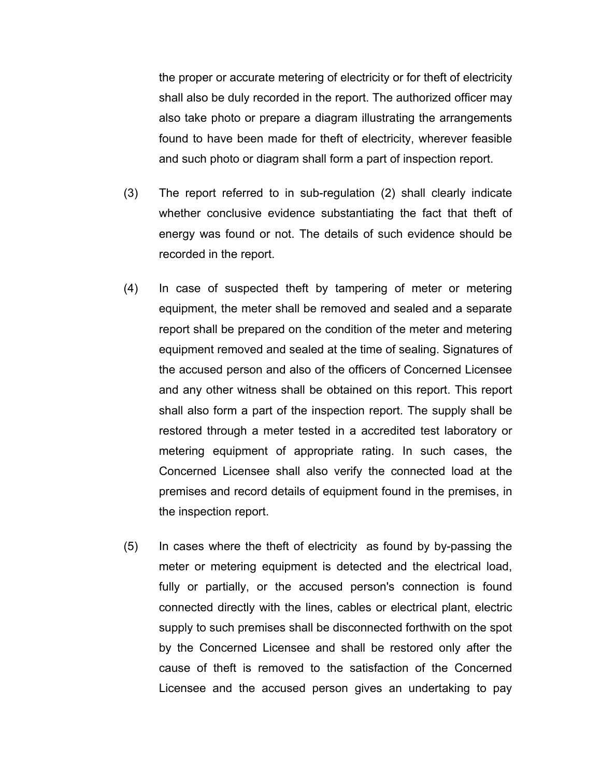the proper or accurate metering of electricity or for theft of electricity shall also be duly recorded in the report. The authorized officer may also take photo or prepare a diagram illustrating the arrangements found to have been made for theft of electricity, wherever feasible and such photo or diagram shall form a part of inspection report.

- (3) The report referred to in sub-regulation (2) shall clearly indicate whether conclusive evidence substantiating the fact that theft of energy was found or not. The details of such evidence should be recorded in the report.
- (4) In case of suspected theft by tampering of meter or metering equipment, the meter shall be removed and sealed and a separate report shall be prepared on the condition of the meter and metering equipment removed and sealed at the time of sealing. Signatures of the accused person and also of the officers of Concerned Licensee and any other witness shall be obtained on this report. This report shall also form a part of the inspection report. The supply shall be restored through a meter tested in a accredited test laboratory or metering equipment of appropriate rating. In such cases, the Concerned Licensee shall also verify the connected load at the premises and record details of equipment found in the premises, in the inspection report.
- (5) In cases where the theft of electricity as found by by-passing the meter or metering equipment is detected and the electrical load, fully or partially, or the accused person's connection is found connected directly with the lines, cables or electrical plant, electric supply to such premises shall be disconnected forthwith on the spot by the Concerned Licensee and shall be restored only after the cause of theft is removed to the satisfaction of the Concerned Licensee and the accused person gives an undertaking to pay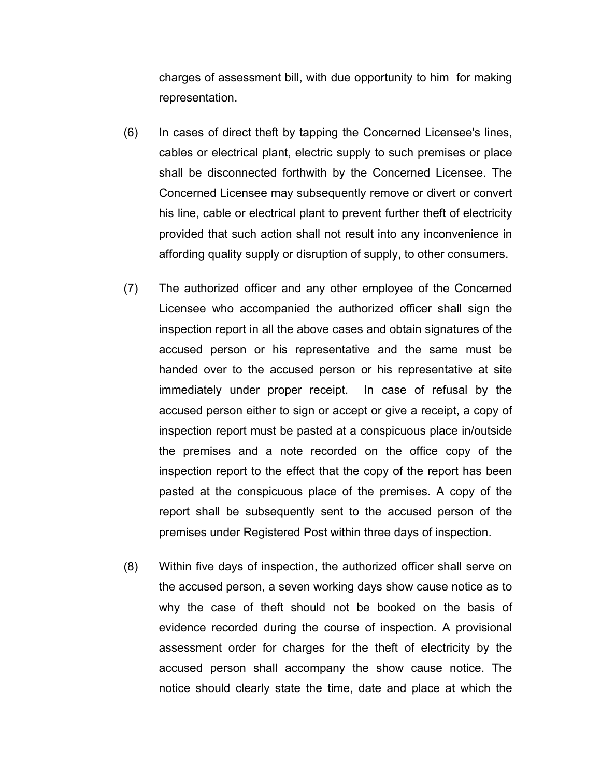charges of assessment bill, with due opportunity to him for making representation.

- (6) In cases of direct theft by tapping the Concerned Licensee's lines, cables or electrical plant, electric supply to such premises or place shall be disconnected forthwith by the Concerned Licensee. The Concerned Licensee may subsequently remove or divert or convert his line, cable or electrical plant to prevent further theft of electricity provided that such action shall not result into any inconvenience in affording quality supply or disruption of supply, to other consumers.
- (7) The authorized officer and any other employee of the Concerned Licensee who accompanied the authorized officer shall sign the inspection report in all the above cases and obtain signatures of the accused person or his representative and the same must be handed over to the accused person or his representative at site immediately under proper receipt. In case of refusal by the accused person either to sign or accept or give a receipt, a copy of inspection report must be pasted at a conspicuous place in/outside the premises and a note recorded on the office copy of the inspection report to the effect that the copy of the report has been pasted at the conspicuous place of the premises. A copy of the report shall be subsequently sent to the accused person of the premises under Registered Post within three days of inspection.
- (8) Within five days of inspection, the authorized officer shall serve on the accused person, a seven working days show cause notice as to why the case of theft should not be booked on the basis of evidence recorded during the course of inspection. A provisional assessment order for charges for the theft of electricity by the accused person shall accompany the show cause notice. The notice should clearly state the time, date and place at which the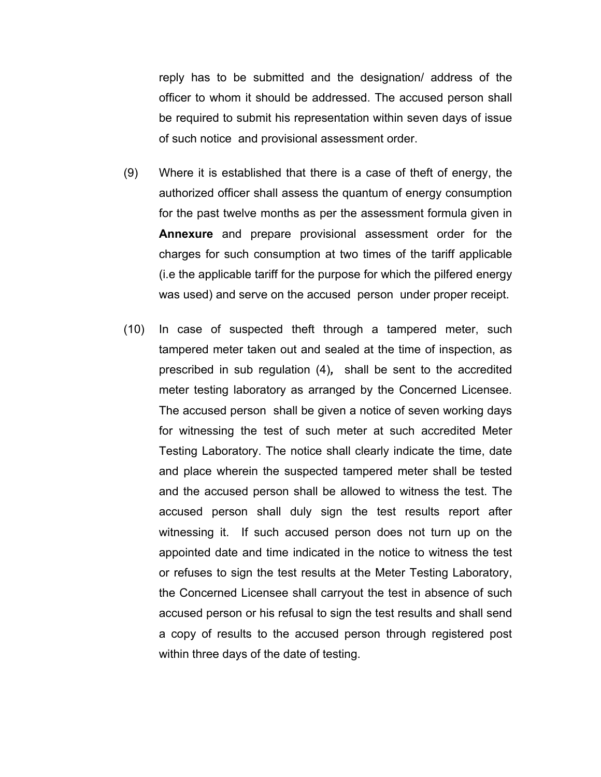reply has to be submitted and the designation/ address of the officer to whom it should be addressed. The accused person shall be required to submit his representation within seven days of issue of such notice and provisional assessment order.

- (9) Where it is established that there is a case of theft of energy, the authorized officer shall assess the quantum of energy consumption for the past twelve months as per the assessment formula given in **Annexure** and prepare provisional assessment order for the charges for such consumption at two times of the tariff applicable (i.e the applicable tariff for the purpose for which the pilfered energy was used) and serve on the accused person under proper receipt.
- (10) In case of suspected theft through a tampered meter, such tampered meter taken out and sealed at the time of inspection, as prescribed in sub regulation (4)*,* shall be sent to the accredited meter testing laboratory as arranged by the Concerned Licensee. The accused person shall be given a notice of seven working days for witnessing the test of such meter at such accredited Meter Testing Laboratory. The notice shall clearly indicate the time, date and place wherein the suspected tampered meter shall be tested and the accused person shall be allowed to witness the test. The accused person shall duly sign the test results report after witnessing it. If such accused person does not turn up on the appointed date and time indicated in the notice to witness the test or refuses to sign the test results at the Meter Testing Laboratory, the Concerned Licensee shall carryout the test in absence of such accused person or his refusal to sign the test results and shall send a copy of results to the accused person through registered post within three days of the date of testing.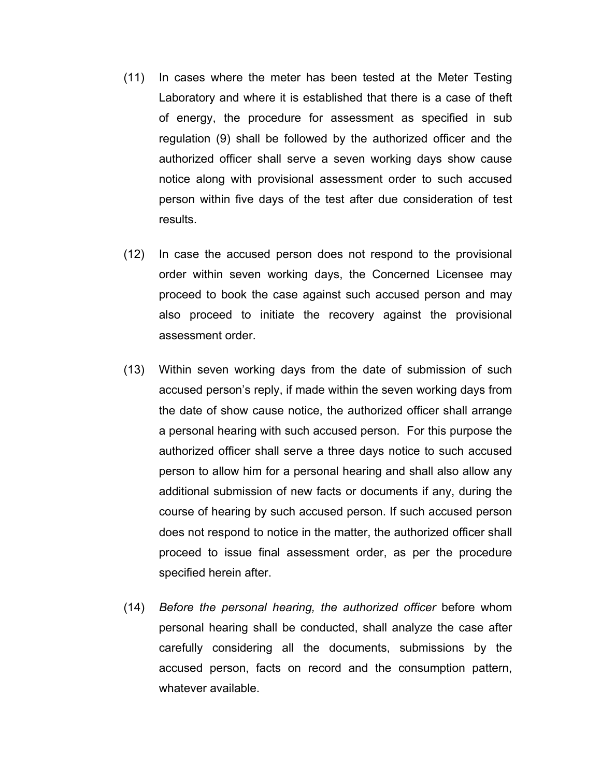- (11) In cases where the meter has been tested at the Meter Testing Laboratory and where it is established that there is a case of theft of energy, the procedure for assessment as specified in sub regulation (9) shall be followed by the authorized officer and the authorized officer shall serve a seven working days show cause notice along with provisional assessment order to such accused person within five days of the test after due consideration of test results.
- (12) In case the accused person does not respond to the provisional order within seven working days, the Concerned Licensee may proceed to book the case against such accused person and may also proceed to initiate the recovery against the provisional assessment order.
- (13) Within seven working days from the date of submission of such accused person's reply, if made within the seven working days from the date of show cause notice, the authorized officer shall arrange a personal hearing with such accused person. For this purpose the authorized officer shall serve a three days notice to such accused person to allow him for a personal hearing and shall also allow any additional submission of new facts or documents if any, during the course of hearing by such accused person. If such accused person does not respond to notice in the matter, the authorized officer shall proceed to issue final assessment order, as per the procedure specified herein after.
- (14) *Before the personal hearing, the authorized officer* before whom personal hearing shall be conducted, shall analyze the case after carefully considering all the documents, submissions by the accused person, facts on record and the consumption pattern, whatever available.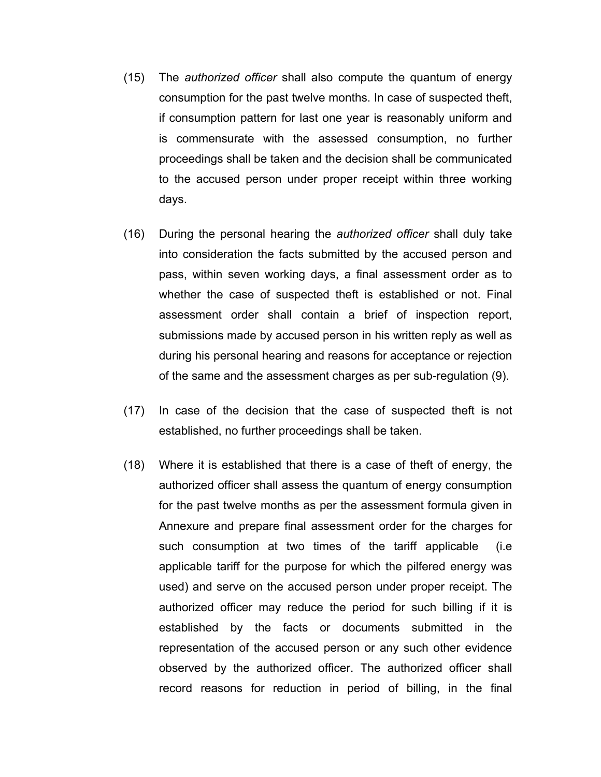- (15) The *authorized officer* shall also compute the quantum of energy consumption for the past twelve months. In case of suspected theft, if consumption pattern for last one year is reasonably uniform and is commensurate with the assessed consumption, no further proceedings shall be taken and the decision shall be communicated to the accused person under proper receipt within three working days.
- (16) During the personal hearing the *authorized officer* shall duly take into consideration the facts submitted by the accused person and pass, within seven working days, a final assessment order as to whether the case of suspected theft is established or not. Final assessment order shall contain a brief of inspection report, submissions made by accused person in his written reply as well as during his personal hearing and reasons for acceptance or rejection of the same and the assessment charges as per sub-regulation (9).
- (17) In case of the decision that the case of suspected theft is not established, no further proceedings shall be taken.
- (18) Where it is established that there is a case of theft of energy, the authorized officer shall assess the quantum of energy consumption for the past twelve months as per the assessment formula given in Annexure and prepare final assessment order for the charges for such consumption at two times of the tariff applicable (i.e applicable tariff for the purpose for which the pilfered energy was used) and serve on the accused person under proper receipt. The authorized officer may reduce the period for such billing if it is established by the facts or documents submitted in the representation of the accused person or any such other evidence observed by the authorized officer. The authorized officer shall record reasons for reduction in period of billing, in the final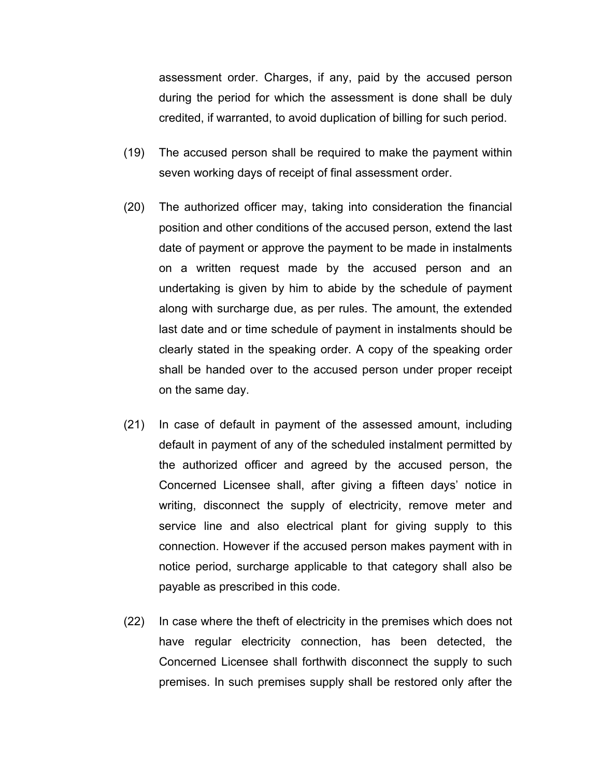assessment order. Charges, if any, paid by the accused person during the period for which the assessment is done shall be duly credited, if warranted, to avoid duplication of billing for such period.

- (19) The accused person shall be required to make the payment within seven working days of receipt of final assessment order.
- (20) The authorized officer may, taking into consideration the financial position and other conditions of the accused person, extend the last date of payment or approve the payment to be made in instalments on a written request made by the accused person and an undertaking is given by him to abide by the schedule of payment along with surcharge due, as per rules. The amount, the extended last date and or time schedule of payment in instalments should be clearly stated in the speaking order. A copy of the speaking order shall be handed over to the accused person under proper receipt on the same day.
- (21) In case of default in payment of the assessed amount, including default in payment of any of the scheduled instalment permitted by the authorized officer and agreed by the accused person, the Concerned Licensee shall, after giving a fifteen days' notice in writing, disconnect the supply of electricity, remove meter and service line and also electrical plant for giving supply to this connection. However if the accused person makes payment with in notice period, surcharge applicable to that category shall also be payable as prescribed in this code.
- (22) In case where the theft of electricity in the premises which does not have regular electricity connection, has been detected, the Concerned Licensee shall forthwith disconnect the supply to such premises. In such premises supply shall be restored only after the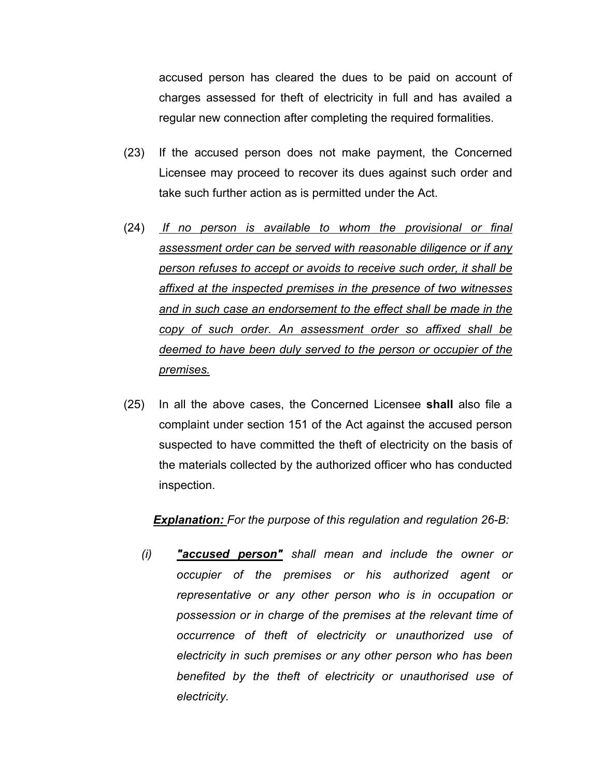accused person has cleared the dues to be paid on account of charges assessed for theft of electricity in full and has availed a regular new connection after completing the required formalities.

- (23) If the accused person does not make payment, the Concerned Licensee may proceed to recover its dues against such order and take such further action as is permitted under the Act.
- (24) *If no person is available to whom the provisional or final assessment order can be served with reasonable diligence or if any person refuses to accept or avoids to receive such order, it shall be affixed at the inspected premises in the presence of two witnesses and in such case an endorsement to the effect shall be made in the copy of such order. An assessment order so affixed shall be deemed to have been duly served to the person or occupier of the premises.*
- (25) In all the above cases, the Concerned Licensee **shall** also file a complaint under section 151 of the Act against the accused person suspected to have committed the theft of electricity on the basis of the materials collected by the authorized officer who has conducted inspection.

#### *Explanation: For the purpose of this regulation and regulation 26-B:*

*(i) "accused person" shall mean and include the owner or occupier of the premises or his authorized agent or representative or any other person who is in occupation or possession or in charge of the premises at the relevant time of occurrence of theft of electricity or unauthorized use of electricity in such premises or any other person who has been benefited by the theft of electricity or unauthorised use of electricity.*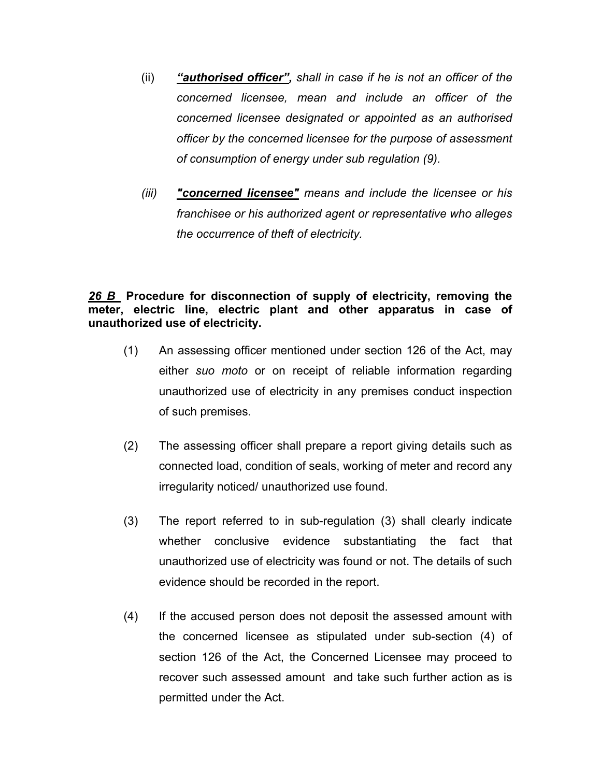- (ii) *"authorised officer", shall in case if he is not an officer of the concerned licensee, mean and include an officer of the concerned licensee designated or appointed as an authorised officer by the concerned licensee for the purpose of assessment of consumption of energy under sub regulation (9).*
- *(iii) "concerned licensee" means and include the licensee or his franchisee or his authorized agent or representative who alleges the occurrence of theft of electricity.*

# *26 B* **Procedure for disconnection of supply of electricity, removing the meter, electric line, electric plant and other apparatus in case of unauthorized use of electricity.**

- (1) An assessing officer mentioned under section 126 of the Act, may either *suo moto* or on receipt of reliable information regarding unauthorized use of electricity in any premises conduct inspection of such premises.
- (2) The assessing officer shall prepare a report giving details such as connected load, condition of seals, working of meter and record any irregularity noticed/ unauthorized use found.
- (3) The report referred to in sub-regulation (3) shall clearly indicate whether conclusive evidence substantiating the fact that unauthorized use of electricity was found or not. The details of such evidence should be recorded in the report.
- (4) If the accused person does not deposit the assessed amount with the concerned licensee as stipulated under sub-section (4) of section 126 of the Act, the Concerned Licensee may proceed to recover such assessed amount and take such further action as is permitted under the Act.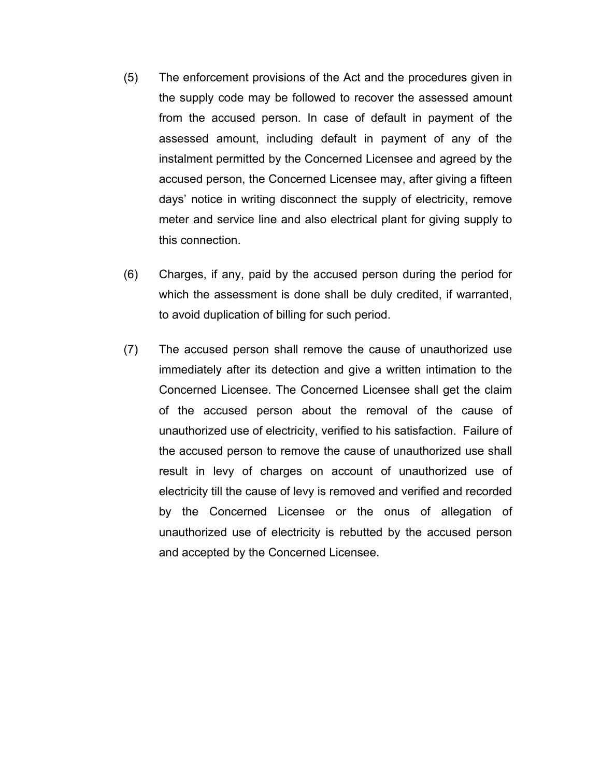- (5) The enforcement provisions of the Act and the procedures given in the supply code may be followed to recover the assessed amount from the accused person. In case of default in payment of the assessed amount, including default in payment of any of the instalment permitted by the Concerned Licensee and agreed by the accused person, the Concerned Licensee may, after giving a fifteen days' notice in writing disconnect the supply of electricity, remove meter and service line and also electrical plant for giving supply to this connection.
- (6) Charges, if any, paid by the accused person during the period for which the assessment is done shall be duly credited, if warranted, to avoid duplication of billing for such period.
- (7) The accused person shall remove the cause of unauthorized use immediately after its detection and give a written intimation to the Concerned Licensee. The Concerned Licensee shall get the claim of the accused person about the removal of the cause of unauthorized use of electricity, verified to his satisfaction. Failure of the accused person to remove the cause of unauthorized use shall result in levy of charges on account of unauthorized use of electricity till the cause of levy is removed and verified and recorded by the Concerned Licensee or the onus of allegation of unauthorized use of electricity is rebutted by the accused person and accepted by the Concerned Licensee.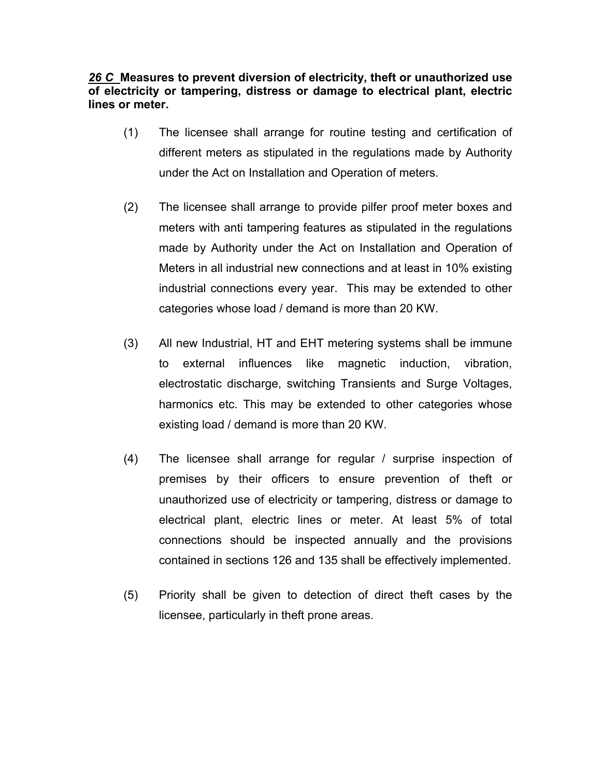# *26 C* **Measures to prevent diversion of electricity, theft or unauthorized use of electricity or tampering, distress or damage to electrical plant, electric lines or meter.**

- (1) The licensee shall arrange for routine testing and certification of different meters as stipulated in the regulations made by Authority under the Act on Installation and Operation of meters.
- (2) The licensee shall arrange to provide pilfer proof meter boxes and meters with anti tampering features as stipulated in the regulations made by Authority under the Act on Installation and Operation of Meters in all industrial new connections and at least in 10% existing industrial connections every year. This may be extended to other categories whose load / demand is more than 20 KW.
- (3) All new Industrial, HT and EHT metering systems shall be immune to external influences like magnetic induction, vibration, electrostatic discharge, switching Transients and Surge Voltages, harmonics etc. This may be extended to other categories whose existing load / demand is more than 20 KW.
- (4) The licensee shall arrange for regular / surprise inspection of premises by their officers to ensure prevention of theft or unauthorized use of electricity or tampering, distress or damage to electrical plant, electric lines or meter. At least 5% of total connections should be inspected annually and the provisions contained in sections 126 and 135 shall be effectively implemented.
- (5) Priority shall be given to detection of direct theft cases by the licensee, particularly in theft prone areas.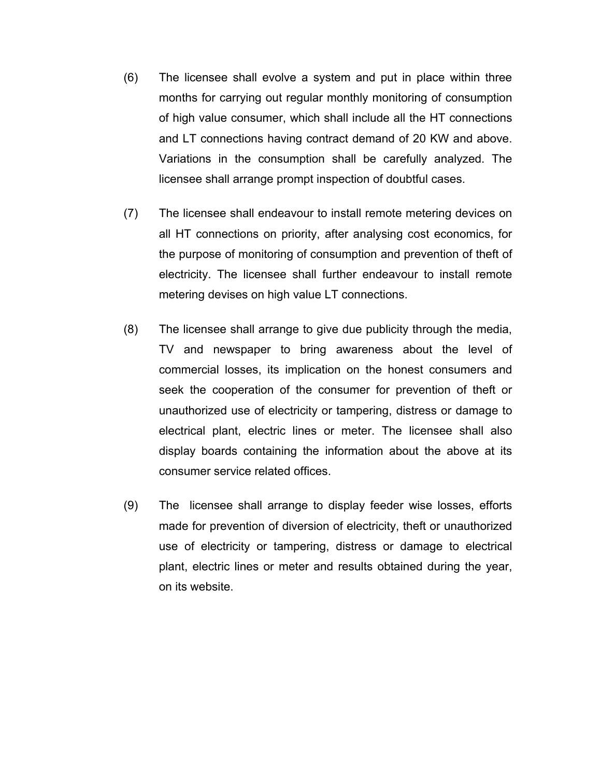- (6) The licensee shall evolve a system and put in place within three months for carrying out regular monthly monitoring of consumption of high value consumer, which shall include all the HT connections and LT connections having contract demand of 20 KW and above. Variations in the consumption shall be carefully analyzed. The licensee shall arrange prompt inspection of doubtful cases.
- (7) The licensee shall endeavour to install remote metering devices on all HT connections on priority, after analysing cost economics, for the purpose of monitoring of consumption and prevention of theft of electricity. The licensee shall further endeavour to install remote metering devises on high value LT connections.
- (8) The licensee shall arrange to give due publicity through the media, TV and newspaper to bring awareness about the level of commercial losses, its implication on the honest consumers and seek the cooperation of the consumer for prevention of theft or unauthorized use of electricity or tampering, distress or damage to electrical plant, electric lines or meter. The licensee shall also display boards containing the information about the above at its consumer service related offices.
- (9) The licensee shall arrange to display feeder wise losses, efforts made for prevention of diversion of electricity, theft or unauthorized use of electricity or tampering, distress or damage to electrical plant, electric lines or meter and results obtained during the year, on its website.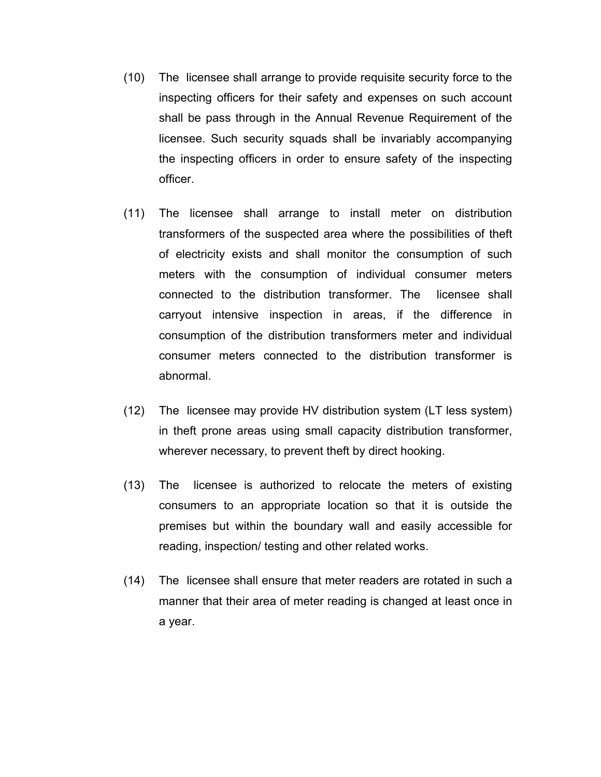- (10) The licensee shall arrange to provide requisite security force to the inspecting officers for their safety and expenses on such account shall be pass through in the Annual Revenue Requirement of the licensee. Such security squads shall be invariably accompanying the inspecting officers in order to ensure safety of the inspecting officer.
- (11) The licensee shall arrange to install meter on distribution transformers of the suspected area where the possibilities of theft of electricity exists and shall monitor the consumption of such meters with the consumption of individual consumer meters connected to the distribution transformer. The licensee shall carryout intensive inspection in areas, if the difference in consumption of the distribution transformers meter and individual consumer meters connected to the distribution transformer is abnormal.
- (12) The licensee may provide HV distribution system (LT less system) in theft prone areas using small capacity distribution transformer, wherever necessary, to prevent theft by direct hooking.
- (13) The licensee is authorized to relocate the meters of existing consumers to an appropriate location so that it is outside the premises but within the boundary wall and easily accessible for reading, inspection/ testing and other related works.
- (14) The licensee shall ensure that meter readers are rotated in such a manner that their area of meter reading is changed at least once in a year.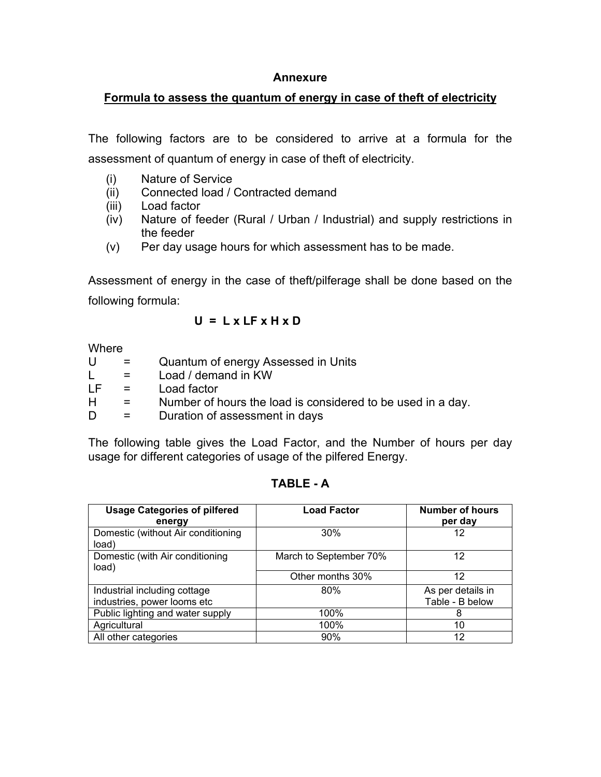### **Annexure**

## **Formula to assess the quantum of energy in case of theft of electricity**

The following factors are to be considered to arrive at a formula for the assessment of quantum of energy in case of theft of electricity.

- (i) Nature of Service
- (ii) Connected load / Contracted demand
- (iii) Load factor
- (iv) Nature of feeder (Rural / Urban / Industrial) and supply restrictions in the feeder
- (v) Per day usage hours for which assessment has to be made.

Assessment of energy in the case of theft/pilferage shall be done based on the following formula:

### **U = L x LF x H x D**

**Where** 

| U  | $\mathbf{r} = \mathbf{r}$ | Quantum of energy Assessed in Units                         |
|----|---------------------------|-------------------------------------------------------------|
| L. | $\mathbf{r} = \mathbf{r}$ | Load / demand in KW                                         |
| LF | $\mathbf{r} = \mathbf{r}$ | Load factor                                                 |
| H. | $\mathbf{r} = \mathbf{r}$ | Number of hours the load is considered to be used in a day. |
| D  | $\mathbf{r}$              | Duration of assessment in days                              |

The following table gives the Load Factor, and the Number of hours per day usage for different categories of usage of the pilfered Energy.

| <b>Usage Categories of pilfered</b><br>energy | <b>Load Factor</b>     | <b>Number of hours</b><br>per day |
|-----------------------------------------------|------------------------|-----------------------------------|
| Domestic (without Air conditioning<br>load)   | 30%                    | 12                                |
| Domestic (with Air conditioning<br>load)      | March to September 70% | 12                                |
|                                               | Other months 30%       | 12                                |
| Industrial including cottage                  | 80%                    | As per details in                 |
| industries, power looms etc                   |                        | Table - B below                   |
| Public lighting and water supply              | 100%                   | 8                                 |
| Agricultural                                  | 100%                   | 10                                |
| All other categories                          | 90%                    | 12                                |

#### **TABLE - A**